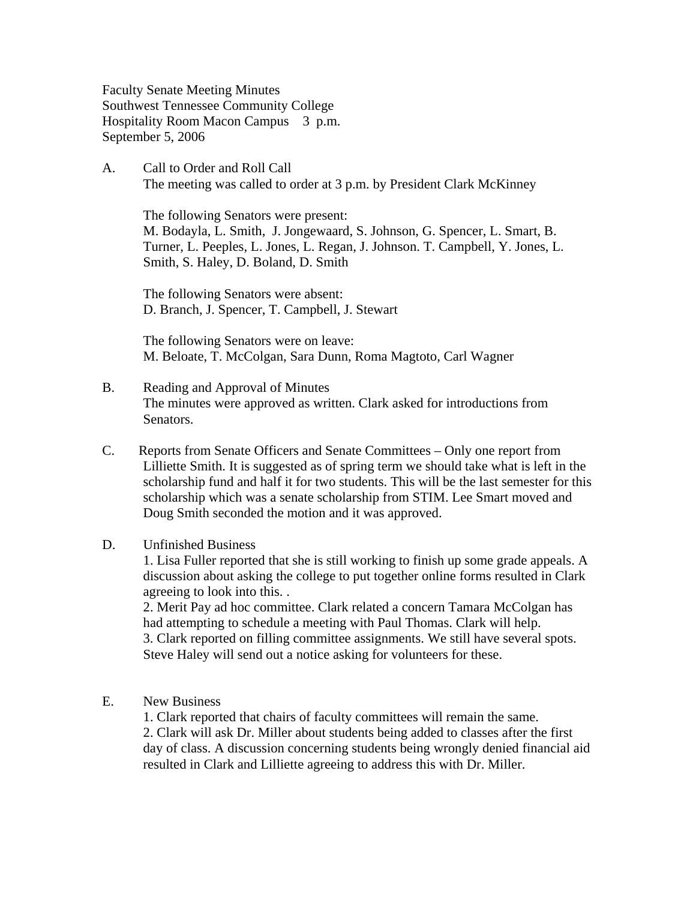Faculty Senate Meeting Minutes Southwest Tennessee Community College Hospitality Room Macon Campus 3 p.m. September 5, 2006

A. Call to Order and Roll Call The meeting was called to order at 3 p.m. by President Clark McKinney

 The following Senators were present: M. Bodayla, L. Smith, J. Jongewaard, S. Johnson, G. Spencer, L. Smart, B. Turner, L. Peeples, L. Jones, L. Regan, J. Johnson. T. Campbell, Y. Jones, L. Smith, S. Haley, D. Boland, D. Smith

The following Senators were absent: D. Branch, J. Spencer, T. Campbell, J. Stewart

The following Senators were on leave: M. Beloate, T. McColgan, Sara Dunn, Roma Magtoto, Carl Wagner

- B. Reading and Approval of Minutes The minutes were approved as written. Clark asked for introductions from Senators.
- C. Reports from Senate Officers and Senate Committees Only one report from Lilliette Smith. It is suggested as of spring term we should take what is left in the scholarship fund and half it for two students. This will be the last semester for this scholarship which was a senate scholarship from STIM. Lee Smart moved and Doug Smith seconded the motion and it was approved.

## D. Unfinished Business

1. Lisa Fuller reported that she is still working to finish up some grade appeals. A discussion about asking the college to put together online forms resulted in Clark agreeing to look into this. .

 2. Merit Pay ad hoc committee. Clark related a concern Tamara McColgan has had attempting to schedule a meeting with Paul Thomas. Clark will help. 3. Clark reported on filling committee assignments. We still have several spots. Steve Haley will send out a notice asking for volunteers for these.

E. New Business

 1. Clark reported that chairs of faculty committees will remain the same. 2. Clark will ask Dr. Miller about students being added to classes after the first day of class. A discussion concerning students being wrongly denied financial aid resulted in Clark and Lilliette agreeing to address this with Dr. Miller.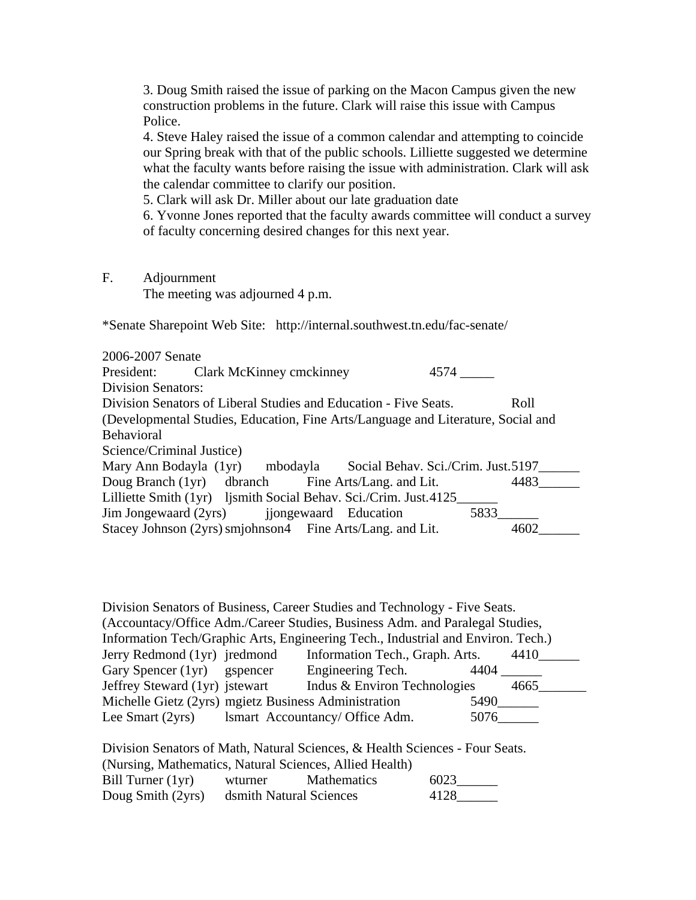3. Doug Smith raised the issue of parking on the Macon Campus given the new construction problems in the future. Clark will raise this issue with Campus Police.

4. Steve Haley raised the issue of a common calendar and attempting to coincide our Spring break with that of the public schools. Lilliette suggested we determine what the faculty wants before raising the issue with administration. Clark will ask the calendar committee to clarify our position.

5. Clark will ask Dr. Miller about our late graduation date

6. Yvonne Jones reported that the faculty awards committee will conduct a survey of faculty concerning desired changes for this next year.

F. Adjournment

The meeting was adjourned 4 p.m.

\*Senate Sharepoint Web Site: http://internal.southwest.tn.edu/fac-senate/

2006-2007 Senate President: Clark McKinney cmckinney 4574 \_\_\_\_\_ Division Senators: Division Senators of Liberal Studies and Education - Five Seats. Roll (Developmental Studies, Education, Fine Arts/Language and Literature, Social and Behavioral Science/Criminal Justice) Mary Ann Bodayla (1yr) mbodayla Social Behav. Sci./Crim. Just. 5197\_\_\_\_\_\_\_ Doug Branch (1yr) dbranch Fine Arts/Lang. and Lit. 4483 Lilliette Smith (1yr) ljsmith Social Behav. Sci./Crim. Just. 4125<br>Jim Jongewaard (2yrs) ijongewaard Education 5833 Jim Jongewaard (2yrs) jiongewaard Education Stacey Johnson (2yrs) smjohnson4 Fine Arts/Lang. and Lit. 4602\_

| Division Senators of Business, Career Studies and Technology - Five Seats.       |                                 |      |  |  |  |  |  |
|----------------------------------------------------------------------------------|---------------------------------|------|--|--|--|--|--|
| (Accountacy/Office Adm./Career Studies, Business Adm. and Paralegal Studies,     |                                 |      |  |  |  |  |  |
| Information Tech/Graphic Arts, Engineering Tech., Industrial and Environ. Tech.) |                                 |      |  |  |  |  |  |
| Jerry Redmond (1yr) jredmond                                                     | Information Tech., Graph. Arts. | 4410 |  |  |  |  |  |
| Gary Spencer (1yr) gspencer                                                      | Engineering Tech.               | 4404 |  |  |  |  |  |
| Jeffrey Steward (1yr) jstewart                                                   | Indus & Environ Technologies    | 4665 |  |  |  |  |  |
| Michelle Gietz (2yrs) mgietz Business Administration                             |                                 | 5490 |  |  |  |  |  |
| Lee Smart (2yrs)                                                                 | Ismart Accountancy/ Office Adm. | 5076 |  |  |  |  |  |

Division Senators of Math, Natural Sciences, & Health Sciences - Four Seats. (Nursing, Mathematics, Natural Sciences, Allied Health) Bill Turner (1yr) wturner Mathematics 6023 Doug Smith (2yrs) dsmith Natural Sciences 4128\_\_\_\_\_\_\_